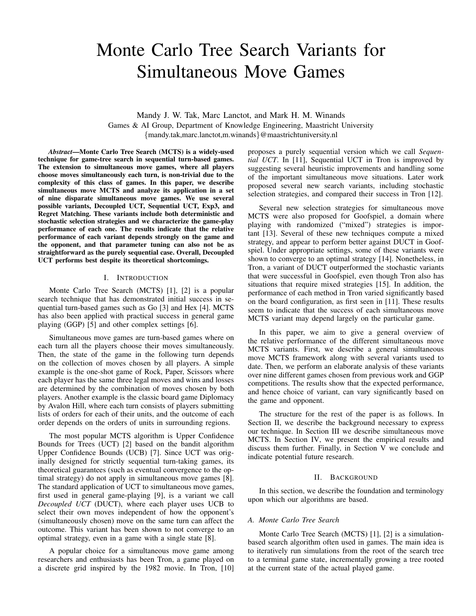# Monte Carlo Tree Search Variants for Simultaneous Move Games

Mandy J. W. Tak, Marc Lanctot, and Mark H. M. Winands Games & AI Group, Department of Knowledge Engineering, Maastricht University {mandy.tak,marc.lanctot,m.winands}@maastrichtuniversity.nl

*Abstract*—Monte Carlo Tree Search (MCTS) is a widely-used technique for game-tree search in sequential turn-based games. The extension to simultaneous move games, where all players choose moves simultaneously each turn, is non-trivial due to the complexity of this class of games. In this paper, we describe simultaneous move MCTS and analyze its application in a set of nine disparate simultaneous move games. We use several possible variants, Decoupled UCT, Sequential UCT, Exp3, and Regret Matching. These variants include both deterministic and stochastic selection strategies and we characterize the game-play performance of each one. The results indicate that the relative performance of each variant depends strongly on the game and the opponent, and that parameter tuning can also not be as straightforward as the purely sequential case. Overall, Decoupled UCT performs best despite its theoretical shortcomings.

# I. INTRODUCTION

Monte Carlo Tree Search (MCTS) [1], [2] is a popular search technique that has demonstrated initial success in sequential turn-based games such as Go [3] and Hex [4]. MCTS has also been applied with practical success in general game playing (GGP) [5] and other complex settings [6].

Simultaneous move games are turn-based games where on each turn all the players choose their moves simultaneously. Then, the state of the game in the following turn depends on the collection of moves chosen by all players. A simple example is the one-shot game of Rock, Paper, Scissors where each player has the same three legal moves and wins and losses are determined by the combination of moves chosen by both players. Another example is the classic board game Diplomacy by Avalon Hill, where each turn consists of players submitting lists of orders for each of their units, and the outcome of each order depends on the orders of units in surrounding regions.

The most popular MCTS algorithm is Upper Confidence Bounds for Trees (UCT) [2] based on the bandit algorithm Upper Confidence Bounds (UCB) [7]. Since UCT was originally designed for strictly sequential turn-taking games, its theoretical guarantees (such as eventual convergence to the optimal strategy) do not apply in simultaneous move games [8]. The standard application of UCT to simultaneous move games, first used in general game-playing [9], is a variant we call *Decoupled UCT* (DUCT), where each player uses UCB to select their own moves independent of how the opponent's (simultaneously chosen) move on the same turn can affect the outcome. This variant has been shown to not converge to an optimal strategy, even in a game with a single state [8].

A popular choice for a simultaneous move game among researchers and enthusiasts has been Tron, a game played on a discrete grid inspired by the 1982 movie. In Tron, [10] proposes a purely sequential version which we call *Sequential UCT*. In [11], Sequential UCT in Tron is improved by suggesting several heuristic improvements and handling some of the important simultaneous move situations. Later work proposed several new search variants, including stochastic selection strategies, and compared their success in Tron [12].

Several new selection strategies for simultaneous move MCTS were also proposed for Goofspiel, a domain where playing with randomized ("mixed") strategies is important [13]. Several of these new techniques compute a mixed strategy, and appear to perform better against DUCT in Goofspiel. Under appropriate settings, some of these variants were shown to converge to an optimal strategy [14]. Nonetheless, in Tron, a variant of DUCT outperformed the stochastic variants that were successful in Goofspiel, even though Tron also has situations that require mixed strategies [15]. In addition, the performance of each method in Tron varied significantly based on the board configuration, as first seen in [11]. These results seem to indicate that the success of each simultaneous move MCTS variant may depend largely on the particular game.

In this paper, we aim to give a general overview of the relative performance of the different simultaneous move MCTS variants. First, we describe a general simultaneous move MCTS framework along with several variants used to date. Then, we perform an elaborate analysis of these variants over nine different games chosen from previous work and GGP competitions. The results show that the expected performance, and hence choice of variant, can vary significantly based on the game and opponent.

The structure for the rest of the paper is as follows. In Section II, we describe the background necessary to express our technique. In Section III we describe simultaneous move MCTS. In Section IV, we present the empirical results and discuss them further. Finally, in Section V we conclude and indicate potential future research.

#### II. BACKGROUND

In this section, we describe the foundation and terminology upon which our algorithms are based.

# *A. Monte Carlo Tree Search*

Monte Carlo Tree Search (MCTS) [1], [2] is a simulationbased search algorithm often used in games. The main idea is to iteratively run simulations from the root of the search tree to a terminal game state, incrementally growing a tree rooted at the current state of the actual played game.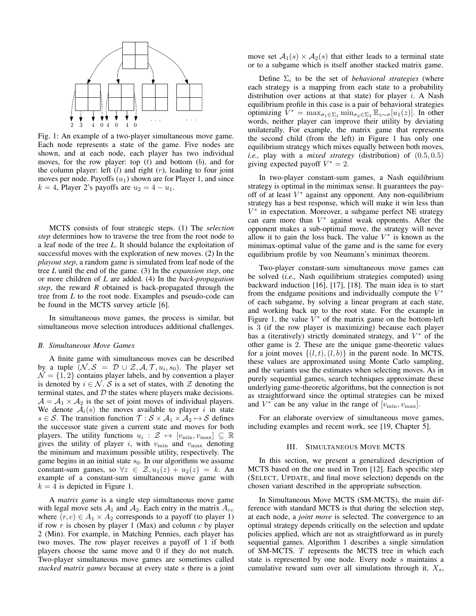

Fig. 1: An example of a two-player simultaneous move game. Each node represents a state of the game. Five nodes are shown, and at each node, each player has two individual moves, for the row player: top  $(t)$  and bottom  $(b)$ , and for the column player: left  $(l)$  and right  $(r)$ , leading to four joint moves per node. Payoffs  $(u_1)$  shown are for Player 1, and since  $k = 4$ , Player 2's payoffs are  $u_2 = 4 - u_1$ .

MCTS consists of four strategic steps. (1) The *selection step* determines how to traverse the tree from the root node to a leaf node of the tree *L*. It should balance the exploitation of successful moves with the exploration of new moves. (2) In the *playout step*, a random game is simulated from leaf node of the tree *L* until the end of the game. (3) In the *expansion step*, one or more children of *L* are added. (4) In the *back-propagation step*, the reward *R* obtained is back-propagated through the tree from *L* to the root node. Examples and pseudo-code can be found in the MCTS survey article [6].

In simultaneous move games, the process is similar, but simultaneous move selection introduces additional challenges.

### *B. Simultaneous Move Games*

A finite game with simultaneous moves can be described by a tuple  $(N, \mathcal{S} = \mathcal{D} \cup \mathcal{Z}, \mathcal{A}, \mathcal{T}, u_i, s_0)$ . The player set  $\mathcal{N} = \{1, 2\}$  contains player labels, and by convention a player is denoted by  $i \in \mathcal{N}$ . S is a set of states, with Z denoting the terminal states, and  $D$  the states where players make decisions.  $A = A_1 \times A_2$  is the set of joint moves of individual players. We denote  $A_i(s)$  the moves available to player i in state  $s \in S$ . The transition function  $\mathcal{T}: \mathcal{S} \times \mathcal{A}_1 \times \mathcal{A}_2 \mapsto S$  defines the successor state given a current state and moves for both players. The utility functions  $u_i : \mathcal{Z} \mapsto [v_{\min}, v_{\max}] \subseteq \mathbb{R}$ gives the utility of player i, with  $v_{\text{min}}$  and  $v_{\text{max}}$  denoting the minimum and maximum possible utility, respectively. The game begins in an initial state  $s_0$ . In our algorithms we assume constant-sum games, so  $\forall z \in \mathcal{Z}, u_1(z) + u_2(z) = k$ . An example of a constant-sum simultaneous move game with  $k = 4$  is depicted in Figure 1.

A *matrix game* is a single step simultaneous move game with legal move sets  $A_1$  and  $A_2$ . Each entry in the matrix  $A_{rc}$ where  $(r, c) \in A_1 \times A_2$  corresponds to a payoff (to player 1) if row  $r$  is chosen by player 1 (Max) and column  $c$  by player 2 (Min). For example, in Matching Pennies, each player has two moves. The row player receives a payoff of 1 if both players choose the same move and 0 if they do not match. Two-player simultaneous move games are sometimes called *stacked matrix games* because at every state s there is a joint

move set  $A_1(s) \times A_2(s)$  that either leads to a terminal state or to a subgame which is itself another stacked matrix game.

Define  $\Sigma_i$  to be the set of *behavioral strategies* (where each strategy is a mapping from each state to a probability distribution over actions at that state) for player  $i$ . A Nash equilibrium profile in this case is a pair of behavioral strategies optimizing  $V^* = \max_{\sigma_1 \in \Sigma_1} \min_{\sigma_2 \in \Sigma_2} \mathbb{E}_{z \sim \sigma}[u_1(z)]$ . In other words, neither player can improve their utility by deviating unilaterally. For example, the matrix game that represents the second child (from the left) in Figure 1 has only one equilibrium strategy which mixes equally between both moves, *i.e.,* play with a *mixed strategy* (distribution) of (0.5, 0.5) giving expected payoff  $V^* = 2$ .

In two-player constant-sum games, a Nash equilibrium strategy is optimal in the minimax sense. It guarantees the payoff of at least  $V^*$  against any opponent. Any non-equilibrium strategy has a best response, which will make it win less than V ∗ in expectation. Moreover, a subgame perfect NE strategy can earn more than  $V^*$  against weak opponents. After the opponent makes a sub-optimal move, the strategy will never allow it to gain the loss back. The value  $V^*$  is known as the minimax-optimal value of the game and is the same for every equilibrium profile by von Neumann's minimax theorem.

Two-player constant-sum simultaneous move games can be solved (*i.e.,* Nash equilibrium strategies computed) using backward induction [16], [17], [18]. The main idea is to start from the endgame positions and individually compute the  $V^*$ of each subgame, by solving a linear program at each state, and working back up to the root state. For the example in Figure 1, the value  $\bar{V}^*$  of the matrix game on the bottom-left is 3 (if the row player is maximizing) because each player has a (iteratively) strictly dominated strategy, and  $V^*$  of the other game is 2. These are the unique game-theoretic values for a joint moves  $\{(l, t), (l, b)\}\$ in the parent node. In MCTS, these values are approximated using Monte Carlo sampling, and the variants use the estimates when selecting moves. As in purely sequential games, search techniques approximate these underlying game-theoretic algorithms, but the connection is not as straightforward since the optimal strategies can be mixed and  $V^*$  can be any value in the range of  $[v_{\min}, v_{\max}]$ .

For an elaborate overview of simultaneous move games, including examples and recent work, see [19, Chapter 5].

#### III. SIMULTANEOUS MOVE MCTS

In this section, we present a generalized description of MCTS based on the one used in Tron [12]. Each specific step (SELECT, UPDATE, and final move selection) depends on the chosen variant described in the appropriate subsection.

In Simultaneous Move MCTS (SM-MCTS), the main difference with standard MCTS is that during the selection step, at each node, a *joint move* is selected. The convergence to an optimal strategy depends critically on the selection and update policies applied, which are not as straightforward as in purely sequential games. Algorithm 1 describes a single simulation of SM-MCTS. T represents the MCTS tree in which each state is represented by one node. Every node s maintains a cumulative reward sum over all simulations through it,  $X_s$ ,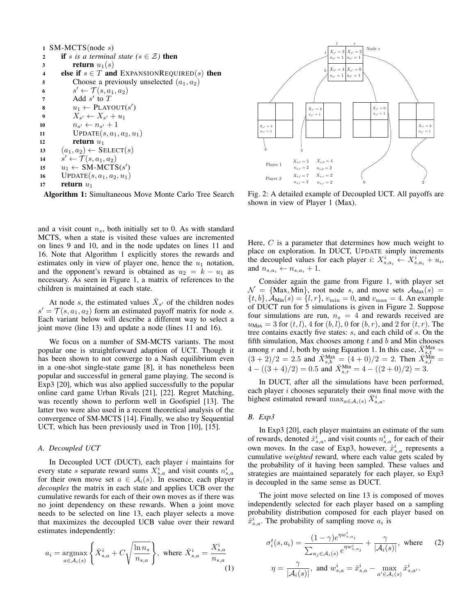|                         | 1 SM-MCTS(node $s$ )                                         |
|-------------------------|--------------------------------------------------------------|
| $\overline{2}$          | <b>if</b> s is a terminal state ( $s \in \mathcal{Z}$ ) then |
| 3                       | <b>return</b> $u_1(s)$                                       |
| $\overline{\mathbf{4}}$ | else if $s \in T$ and EXPANSIONREQUIRED(s) then              |
| 5                       | Choose a previously unselected $(a_1, a_2)$                  |
| 6                       | $s' \leftarrow \mathcal{T}(s, a_1, a_2)$                     |
| 7                       | Add $s'$ to $T$                                              |
| 8                       | $u_1 \leftarrow \text{PLANOUT}(s')$                          |
| 9                       | $X_{s'} \leftarrow X_{s'} + u_1$                             |
| 10                      | $n_{s'} \leftarrow n_{s'}+1$                                 |
| 11                      | $UPDATE(s, a_1, a_2, u_1)$                                   |
| 12                      | return $u_1$                                                 |
| 13                      | $(a_1, a_2) \leftarrow$ SELECT(s)                            |
| 14                      | $s' \leftarrow \mathcal{T}(s, a_1, a_2)$                     |
| 15                      | $u_1 \leftarrow SM-MCTS(s')$                                 |
| 16                      | $UPDATE(s, a1, a2, u1)$                                      |
| 17                      | return $u_1$                                                 |
|                         |                                                              |

Algorithm 1: Simultaneous Move Monte Carlo Tree Search

and a visit count  $n<sub>s</sub>$ , both initially set to 0. As with standard MCTS, when a state is visited these values are incremented on lines 9 and 10, and in the node updates on lines 11 and 16. Note that Algorithm 1 explicitly stores the rewards and estimates only in view of player one, hence the  $u_1$  notation, and the opponent's reward is obtained as  $u_2 = k - u_1$  as necessary. As seen in Figure 1, a matrix of references to the children is maintained at each state.

At node s, the estimated values  $\bar{X}_{s'}$  of the children nodes  $s' = \mathcal{T}(s, a_1, a_2)$  form an estimated payoff matrix for node s. Each variant below will describe a different way to select a joint move (line 13) and update a node (lines 11 and 16).

We focus on a number of SM-MCTS variants. The most popular one is straightforward adaption of UCT. Though it has been shown to not converge to a Nash equilibrium even in a one-shot single-state game [8], it has nonetheless been popular and successful in general game playing. The second is Exp3 [20], which was also applied successfully to the popular online card game Urban Rivals [21], [22]. Regret Matching, was recently shown to perform well in Goofspiel [13]. The latter two were also used in a recent theoretical analysis of the convergence of SM-MCTS [14]. Finally, we also try Sequential UCT, which has been previously used in Tron [10], [15].

# *A. Decoupled UCT*

In Decoupled UCT (DUCT), each player  $i$  maintains for every state *s* separate reward sums  $X_{s,a}^i$  and visit counts  $n_{s,a}^i$  for their own move set  $a \in A_i(s)$ . In essence, each player *decouples* the matrix in each state and applies UCB over the cumulative rewards for each of their own moves as if there was no joint dependency on these rewards. When a joint move needs to be selected on line 13, each player selects a move that maximizes the decoupled UCB value over their reward estimates independently:

$$
a_i = \underset{a \in \mathcal{A}_i(s)}{\operatorname{argmax}} \left\{ \bar{X}_{s,a}^i + C \sqrt{\frac{\ln n_s}{n_{s,a}}} \right\}, \text{ where } \bar{X}_{s,a}^i = \frac{X_{s,a}^i}{n_{s,a}} \tag{1}
$$



Fig. 2: A detailed example of Decoupled UCT. All payoffs are shown in view of Player 1 (Max).

Here,  $C$  is a parameter that determines how much weight to place on exploration. In DUCT, UPDATE simply increments the decoupled values for each player i:  $X_{s,a_i}^i \leftarrow X_{s,a_i}^i + u_i$ , and  $n_{s,a_i} \leftarrow n_{s,a_i} + 1$ .

Consider again the game from Figure 1, with player set  $\mathcal{N} = \{\text{Max}, \text{Min}\}\$ , root node s, and move sets  $\mathcal{A}_{\text{Max}}(s) =$  $\{t, b\}, \tilde{A}_{\text{Min}}(s) = \{l, r\}, v_{\text{min}} = 0$ , and  $v_{\text{max}} = 4$ . An example of DUCT run for 5 simulations is given in Figure 2. Suppose four simulations are run,  $n<sub>s</sub> = 4$  and rewards received are  $u_{\text{Max}} = 3$  for  $(t, l)$ , 4 for  $(b, l)$ , 0 for  $(b, r)$ , and 2 for  $(t, r)$ . The tree contains exactly five states: s, and each child of s. On the fifth simulation, Max chooses among  $t$  and  $b$  and Min chooses among r and l, both by using Equation 1. In this case,  $\bar{X}_{s,t}^{\text{Max}} =$  $(3 + 2)/2 = 2.5$  and  $\bar{X}_{s,b}^{\text{Max}} = (4 + 0)/2 = 2$ . Then  $\bar{X}_{s,l}^{\text{Min}} =$  $4-((3+4)/2)=0.5$  and  $\bar{X}_{s,r}^{\text{Min}}=4-((2+0)/2)=3.$ 

In DUCT, after all the simulations have been performed, each player  $i$  chooses separately their own final move with the highest estimated reward  $\max_{a \in \mathcal{A}_i(s)} \bar{X}_{s,a}^i$ .

# *B. Exp3*

In Exp3 [20], each player maintains an estimate of the sum of rewards, denoted  $\hat{x}_{s,a}^i$ , and visit counts  $n_{s,a}^i$  for each of their own moves. In the case of Exp3, however,  $\hat{x}^i_{s,a}$  represents a cumulative *weighted* reward, where each value gets scaled by the probability of it having been sampled. These values and strategies are maintained separately for each player, so Exp3 is decoupled in the same sense as DUCT.

The joint move selected on line 13 is composed of moves independently selected for each player based on a sampling probability distribution composed for each player based on  $\hat{x}_{s,a}^i$ . The probability of sampling move  $a_i$  is

$$
\sigma_i^t(s, a_i) = \frac{(1 - \gamma)e^{\eta w_{s, a_i}^i}}{\sum_{a_j \in \mathcal{A}_i(s)} e^{\eta w_{s, a_j}^i}} + \frac{\gamma}{|\mathcal{A}_i(s)|}, \text{ where } (2)
$$

$$
\eta = \frac{\gamma}{|\mathcal{A}_i(s)|}, \text{ and } w_{s, a}^i = \hat{x}_{s, a}^i - \max_{a' \in \mathcal{A}_i(s)} \hat{x}_{s, a'}^i.
$$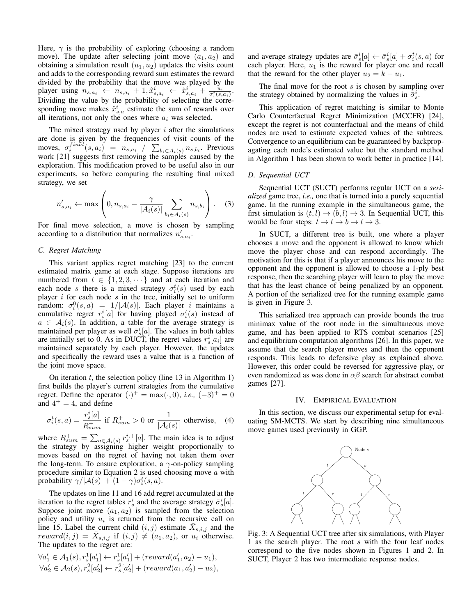Here,  $\gamma$  is the probability of exploring (choosing a random move). The update after selecting joint move  $(a_1, a_2)$  and obtaining a simulation result  $(u_1, u_2)$  updates the visits count and adds to the corresponding reward sum estimates the reward divided by the probability that the move was played by the player using  $n_{s,a_i} \leftarrow n_{s,a_i} + 1, \hat{x}_{s,a_i}^i \leftarrow \hat{x}_{s,a_i}^i + \frac{u_i}{\sigma_i^t(s,a_i)}$ . Dividing the value by the probability of selecting the corresponding move makes  $\hat{x}_{s,a}^i$  estimate the sum of rewards over all iterations, not only the ones where  $a_i$  was selected.

The mixed strategy used by player  $i$  after the simulations are done is given by the frequencies of visit counts of the moves,  $\sigma_i^{final}(s, a_i) = n_{s, a_i} / \sum_{b_i \in A_i(s)} n_{s, b_i}$ . Previous work [21] suggests first removing the samples caused by the exploration. This modification proved to be useful also in our experiments, so before computing the resulting final mixed strategy, we set

$$
n'_{s,a_i} \leftarrow \max\left(0, n_{s,a_i} - \frac{\gamma}{|A_i(s)|} \sum_{b_i \in A_i(s)} n_{s,b_i}\right). \quad (3)
$$

For final move selection, a move is chosen by sampling according to a distribution that normalizes  $n'_{s,a_i}$ .

#### *C. Regret Matching*

This variant applies regret matching [23] to the current estimated matrix game at each stage. Suppose iterations are numbered from  $t \in \{1, 2, 3, \dots\}$  and at each iteration and each node s there is a mixed strategy  $\sigma_i^t(s)$  used by each player  $i$  for each node  $s$  in the tree, initially set to uniform random:  $\sigma_i^0(s, a) = 1/|\mathcal{A}(s)|$ . Each player *i* maintains a cumulative regret  $r_s^i[a]$  for having played  $\sigma_i^t(s)$  instead of  $a \in \mathcal{A}_i(s)$ . In addition, a table for the average strategy is maintained per player as well  $\bar{\sigma}_s^i[a]$ . The values in both tables are initially set to 0. As in DUCT, the regret values  $r_s^i[a_i]$  are maintained separately by each player. However, the updates and specifically the reward uses a value that is a function of the joint move space.

On iteration  $t$ , the selection policy (line 13 in Algorithm 1) first builds the player's current strategies from the cumulative regret. Define the operator  $(\cdot)^{+} = \max(\cdot, 0)$ , *i.e.*,  $(-3)^{+} = 0$ and  $4^+=4$ , and define

$$
\sigma_i^t(s, a) = \frac{r_s^i[a]}{R_{sum}^+} \text{ if } R_{sum}^+ > 0 \text{ or } \frac{1}{|\mathcal{A}_i(s)|} \text{ otherwise, } (4)
$$

where  $R_{sum}^{+} = \sum_{a \in A_{i}(s)} r_{s}^{i,+}[a]$ . The main idea is to adjust the strategy by assigning higher weight proportionally to moves based on the regret of having not taken them over the long-term. To ensure exploration, a  $\gamma$ -on-policy sampling procedure similar to Equation 2 is used choosing move  $a$  with probability  $\gamma/|\mathcal{A}(s)| + (1 - \gamma)\sigma_i^t(s, a)$ .

The updates on line 11 and 16 add regret accumulated at the iteration to the regret tables  $r_s^i$  and the average strategy  $\bar{\sigma}_s^i[a]$ . Suppose joint move  $(a_1, a_2)$  is sampled from the selection policy and utility  $u_i$  is returned from the recursive call on line 15. Label the current child  $(i, j)$  estimate  $\bar{X}_{s,i,j}$  and the reward $(i, j) = \bar{X}_{s,i,j}$  if  $(i, j) \neq (a_1, a_2)$ , or  $u_i$  otherwise. The updates to the regret are:

$$
\forall a'_1 \in A_1(s), r_s^1[a'_1] \leftarrow r_s^1[a'_1] + (reward(a'_1, a_2) - u_1),
$$
  

$$
\forall a'_2 \in A_2(s), r_s^2[a'_2] \leftarrow r_s^2[a'_2] + (reward(a_1, a'_2) - u_2),
$$

and average strategy updates are  $\bar{\sigma}_s^i[a] \leftarrow \bar{\sigma}_s^i[a] + \sigma_i^t(s, a)$  for each player. Here,  $u_1$  is the reward for player one and recall that the reward for the other player  $u_2 = k - u_1$ .

The final move for the root  $s$  is chosen by sampling over the strategy obtained by normalizing the values in  $\bar{\sigma}_s^i$ .

This application of regret matching is similar to Monte Carlo Counterfactual Regret Minimization (MCCFR) [24], except the regret is not counterfactual and the means of child nodes are used to estimate expected values of the subtrees. Convergence to an equilibrium can be guaranteed by backpropagating each node's estimated value but the standard method in Algorithm 1 has been shown to work better in practice [14].

### *D. Sequential UCT*

Sequential UCT (SUCT) performs regular UCT on a *serialized* game tree, *i.e.,* one that is turned into a purely sequential game. In the running example in the simultaneous game, the first simulation is  $(t, l) \rightarrow (b, l) \rightarrow 3$ . In Sequential UCT, this would be four steps:  $t \to l \to b \to l \to 3$ .

In SUCT, a different tree is built, one where a player chooses a move and the opponent is allowed to know which move the player chose and can respond accordingly. The motivation for this is that if a player announces his move to the opponent and the opponent is allowed to choose a 1-ply best response, then the searching player will learn to play the move that has the least chance of being penalized by an opponent. A portion of the serialized tree for the running example game is given in Figure 3.

This serialized tree approach can provide bounds the true minimax value of the root node in the simultaneous move game, and has been applied to RTS combat scenarios [25] and equilibrium computation algorithms [26]. In this paper, we assume that the search player moves and then the opponent responds. This leads to defensive play as explained above. However, this order could be reversed for aggressive play, or even randomized as was done in  $\alpha\beta$  search for abstract combat games [27].

#### IV. EMPIRICAL EVALUATION

In this section, we discuss our experimental setup for evaluating SM-MCTS. We start by describing nine simultaneous move games used previously in GGP.



Fig. 3: A Sequential UCT tree after six simulations, with Player 1 as the search player. The root s with the four leaf nodes correspond to the five nodes shown in Figures 1 and 2. In SUCT, Player 2 has two intermediate response nodes.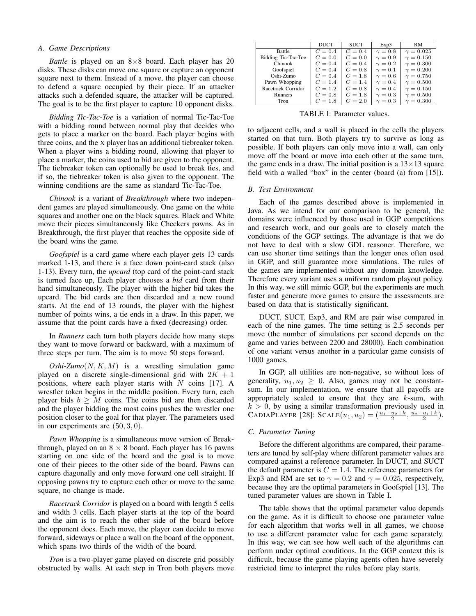#### *A. Game Descriptions*

*Battle* is played on an  $8\times8$  board. Each player has 20 disks. These disks can move one square or capture an opponent square next to them. Instead of a move, the player can choose to defend a square occupied by their piece. If an attacker attacks such a defended square, the attacker will be captured. The goal is to be the first player to capture 10 opponent disks.

*Bidding Tic-Tac-Toe* is a variation of normal Tic-Tac-Toe with a bidding round between normal play that decides who gets to place a marker on the board. Each player begins with three coins, and the X player has an additional tiebreaker token. When a player wins a bidding round, allowing that player to place a marker, the coins used to bid are given to the opponent. The tiebreaker token can optionally be used to break ties, and if so, the tiebreaker token is also given to the opponent. The winning conditions are the same as standard Tic-Tac-Toe.

*Chinook* is a variant of *Breakthrough* where two independent games are played simultaneously. One game on the white squares and another one on the black squares. Black and White move their pieces simultaneously like Checkers pawns. As in Breakthrough, the first player that reaches the opposite side of the board wins the game.

*Goofspiel* is a card game where each player gets 13 cards marked 1-13, and there is a face down point-card stack (also 1-13). Every turn, the *upcard* (top card of the point-card stack is turned face up, Each player chooses a *bid* card from their hand simultaneously. The player with the higher bid takes the upcard. The bid cards are then discarded and a new round starts. At the end of 13 rounds, the player with the highest number of points wins, a tie ends in a draw. In this paper, we assume that the point cards have a fixed (decreasing) order.

In *Runners* each turn both players decide how many steps they want to move forward or backward, with a maximum of three steps per turn. The aim is to move 50 steps forward.

 $Oshi-Zumo(N, K, M)$  is a wrestling simulation game played on a discrete single-dimensional grid with  $2K + 1$ positions, where each player starts with  $N$  coins [17]. A wrestler token begins in the middle position. Every turn, each player bids  $b \geq M$  coins. The coins bid are then discarded and the player bidding the most coins pushes the wrestler one position closer to the goal for that player. The parameters used in our experiments are  $(50, 3, 0)$ .

*Pawn Whopping* is a simultaneous move version of Breakthrough, played on an  $8 \times 8$  board. Each player has 16 pawns starting on one side of the board and the goal is to move one of their pieces to the other side of the board. Pawns can capture diagonally and only move forward one cell straight. If opposing pawns try to capture each other or move to the same square, no change is made.

*Racetrack Corridor* is played on a board with length 5 cells and width 3 cells. Each player starts at the top of the board and the aim is to reach the other side of the board before the opponent does. Each move, the player can decide to move forward, sideways or place a wall on the board of the opponent, which spans two thirds of the width of the board.

*Tron* is a two-player game played on discrete grid possibly obstructed by walls. At each step in Tron both players move

|                     | <b>DUCT</b> | <b>SUCT</b> | Exp3         | RM.              |
|---------------------|-------------|-------------|--------------|------------------|
| Battle              | $C=0.4$     | $C=0.4$     | $\gamma=0.8$ | $\gamma = 0.025$ |
| Bidding Tic-Tac-Toe | $C = 0.0$   | $C = 0.0$   | $\gamma=0.9$ | $\gamma = 0.150$ |
| Chinook             | $C = 0.4$   | $C = 0.4$   | $\gamma=0.2$ | $\gamma = 0.300$ |
| Goofspiel           | $C = 0.4$   | $C=0.8$     | $\gamma=0.1$ | $\gamma = 0.200$ |
| Oshi-Zumo           | $C = 0.4$   | $C = 1.8$   | $\gamma=0.6$ | $\gamma = 0.750$ |
| Pawn Whopping       | $C = 1.4$   | $C = 1.4$   | $\gamma=0.4$ | $\gamma = 0.500$ |
| Racetrack Corridor  | $C = 1.2$   | $C=0.8$     | $\gamma=0.4$ | $\gamma = 0.150$ |
| Runners             | $C=0.8$     | $C = 1.8$   | $\gamma=0.3$ | $\gamma = 0.500$ |
| Tron                | $C = 1.8$   | $C = 2.0$   | $\gamma=0.3$ | $\gamma = 0.300$ |

TABLE I: Parameter values.

to adjacent cells, and a wall is placed in the cells the players started on that turn. Both players try to survive as long as possible. If both players can only move into a wall, can only move off the board or move into each other at the same turn, the game ends in a draw. The initial position is a  $13\times13$  square field with a walled "box" in the center (board (a) from [15]).

# *B. Test Environment*

Each of the games described above is implemented in Java. As we intend for our comparison to be general, the domains were influenced by those used in GGP competitions and research work, and our goals are to closely match the conditions of the GGP settings. The advantage is that we do not have to deal with a slow GDL reasoner. Therefore, we can use shorter time settings than the longer ones often used in GGP, and still guarantee more simulations. The rules of the games are implemented without any domain knowledge. Therefore every variant uses a uniform random playout policy. In this way, we still mimic GGP, but the experiments are much faster and generate more games to ensure the assessments are based on data that is statistically significant.

DUCT, SUCT, Exp3, and RM are pair wise compared in each of the nine games. The time setting is 2.5 seconds per move (the number of simulations per second depends on the game and varies between 2200 and 28000). Each combination of one variant versus another in a particular game consists of 1000 games.

In GGP, all utilities are non-negative, so without loss of generality,  $u_1, u_2 \geq 0$ . Also, games may not be constantsum. In our implementation, we ensure that all payoffs are appropriately scaled to ensure that they are  $k$ -sum, with  $k > 0$ , by using a similar transformation previously used in CADIAPLAYER [28]: SCALE $(u_1, u_2) = (\frac{u_1 - u_2 + k}{2}, \frac{u_2 - u_1 + k}{2})$ .

### *C. Parameter Tuning*

Before the different algorithms are compared, their parameters are tuned by self-play where different parameter values are compared against a reference parameter. In DUCT, and SUCT the default parameter is  $C = 1.4$ . The reference parameters for Exp3 and RM are set to  $\gamma = 0.2$  and  $\gamma = 0.025$ , respectively, because they are the optimal parameters in Goofspiel [13]. The tuned parameter values are shown in Table I.

The table shows that the optimal parameter value depends on the game. As it is difficult to choose one parameter value for each algorithm that works well in all games, we choose to use a different parameter value for each game separately. In this way, we can see how well each of the algorithms can perform under optimal conditions. In the GGP context this is difficult, because the game playing agents often have severely restricted time to interpret the rules before play starts.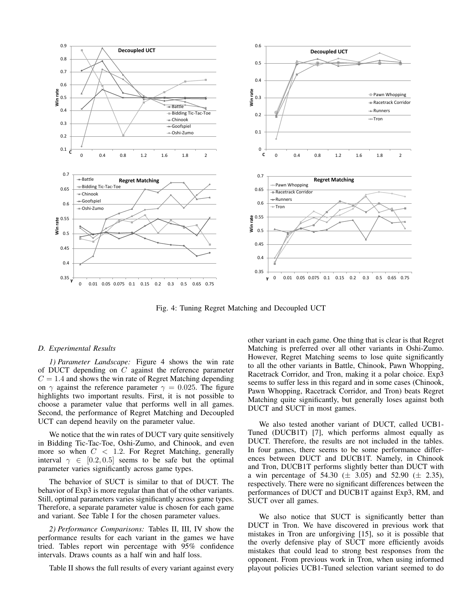

Fig. 4: Tuning Regret Matching and Decoupled UCT

#### *D. Experimental Results*

*1) Parameter Landscape:* Figure 4 shows the win rate of DUCT depending on C against the reference parameter  $C = 1.4$  and shows the win rate of Regret Matching depending on  $\gamma$  against the reference parameter  $\gamma = 0.025$ . The figure highlights two important results. First, it is not possible to choose a parameter value that performs well in all games. Second, the performance of Regret Matching and Decoupled UCT can depend heavily on the parameter value.

We notice that the win rates of DUCT vary quite sensitively in Bidding Tic-Tac-Toe, Oshi-Zumo, and Chinook, and even more so when  $C < 1.2$ . For Regret Matching, generally interval  $\gamma \in [0.2, 0.5]$  seems to be safe but the optimal parameter varies significantly across game types.

The behavior of SUCT is similar to that of DUCT. The behavior of Exp3 is more regular than that of the other variants. Still, optimal parameters varies significantly across game types. Therefore, a separate parameter value is chosen for each game and variant. See Table I for the chosen parameter values.

*2) Performance Comparisons:* Tables II, III, IV show the performance results for each variant in the games we have tried. Tables report win percentage with 95% confidence intervals. Draws counts as a half win and half loss.

Table II shows the full results of every variant against every

other variant in each game. One thing that is clear is that Regret Matching is preferred over all other variants in Oshi-Zumo. However, Regret Matching seems to lose quite significantly to all the other variants in Battle, Chinook, Pawn Whopping, Racetrack Corridor, and Tron, making it a polar choice. Exp3 seems to suffer less in this regard and in some cases (Chinook, Pawn Whopping, Racetrack Corridor, and Tron) beats Regret Matching quite significantly, but generally loses against both DUCT and SUCT in most games.

We also tested another variant of DUCT, called UCB1- Tuned (DUCB1T) [7], which performs almost equally as DUCT. Therefore, the results are not included in the tables. In four games, there seems to be some performance differences between DUCT and DUCB1T. Namely, in Chinook and Tron, DUCB1T performs slightly better than DUCT with a win percentage of 54.30 ( $\pm$  3.05) and 52.90 ( $\pm$  2.35), respectively. There were no significant differences between the performances of DUCT and DUCB1T against Exp3, RM, and SUCT over all games.

We also notice that SUCT is significantly better than DUCT in Tron. We have discovered in previous work that mistakes in Tron are unforgiving [15], so it is possible that the overly defensive play of SUCT more efficiently avoids mistakes that could lead to strong best responses from the opponent. From previous work in Tron, when using informed playout policies UCB1-Tuned selection variant seemed to do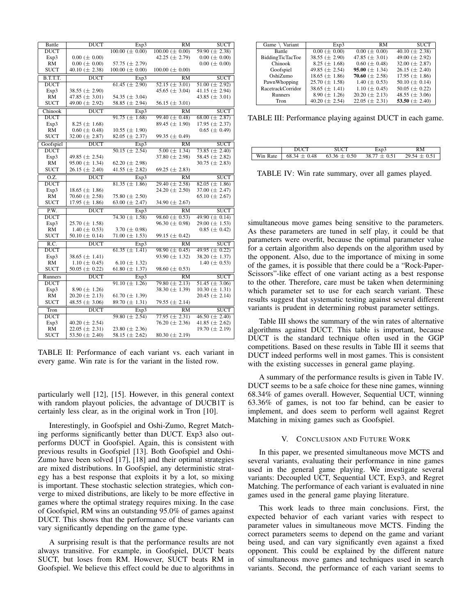| Battle      | <b>DUCT</b>          | Exp3                     | <b>RM</b>             | <b>SUCT</b>          |
|-------------|----------------------|--------------------------|-----------------------|----------------------|
| <b>DUCT</b> |                      | $100.00 \ (\pm 0.00)$    | $100.00 \ (\pm 0.00)$ | 59.90 $(\pm 2.38)$   |
| Exp3        | $0.00~(\pm 0.00)$    |                          | 42.25 $(\pm 2.79)$    | $0.00~(\pm 0.00)$    |
| RM          | $0.00~(\pm 0.00)$    | 57.75 $(\pm 2.79)$       |                       | $0.00~(\pm 0.00)$    |
| <b>SUCT</b> | 40.10 ( $\pm$ 2.38)  | $100.00 \ (\pm 0.00)$    | $100.00 \ (\pm 0.00)$ |                      |
| B.T.T.T.    | <b>DUCT</b>          | Exp3                     | <b>RM</b>             | <b>SUCT</b>          |
| <b>DUCT</b> |                      | $61.45 \ (\pm 2.90)$     | $52.15 \ (\pm 3.01)$  | $51.00 \ (\pm 2.92)$ |
| Exp3        | 38.55 $(\pm 2.90)$   |                          | 45.65 $(\pm 3.04)$    | 41.15 $(\pm 2.94)$   |
| RM          | 47.85 $(\pm 3.01)$   | 54.35 $(\pm 3.04)$       |                       | 43.85 $(\pm 3.01)$   |
| <b>SUCT</b> | 49.00 (± 2.92)       | 58.85 $(\pm 2.94)$       | 56.15 $(\pm 3.01)$    |                      |
| Chinook     | <b>DUCT</b>          | Exp3                     | $\overline{RM}$       | <b>SUCT</b>          |
| <b>DUCT</b> |                      | $91.75 \ (\pm 1.68)$     | 99.40 $(\pm 0.48)$    | 68.00 $(\pm 2.87)$   |
| Exp3        | 8.25 ( $\pm$ 1.68)   |                          | 89.45 $(\pm 1.90)$    | 17.95 $(\pm 2.37)$   |
| <b>RM</b>   | $0.60 \ (\pm 0.48)$  | $10.55 \ (\pm 1.90)$     |                       | $0.65 (\pm 0.49)$    |
| <b>SUCT</b> | 32.00 $(\pm 2.87)$   | 82.05 ( $\pm$ 2.37)      | 99.35 ( $\pm$ 0.49)   |                      |
| Goofspiel   | <b>DUCT</b>          | Exp3                     | RM                    | <b>SUCT</b>          |
| <b>DUCT</b> |                      | $50.15 (\pm 2.54)$       | $5.00 \ (\pm 1.34)$   | $73.85 \ (\pm 2.40)$ |
| Exp3        | 49.85 $(\pm 2.54)$   |                          | 37.80 $(\pm 2.98)$    | 58.45 ( $\pm$ 2.82)  |
| RM          | 95.00 $(\pm 1.34)$   | 62.20 ( $\pm$ 2.98)      |                       | 30.75 ( $\pm$ 2.83)  |
| <b>SUCT</b> | 26.15 $(\pm 2.40)$   | 41.55 ( $\pm$ 2.82)      | 69.25 ( $\pm$ 2.83)   |                      |
| 0.Z.        | <b>DUCT</b>          | Exp3                     | RM                    | <b>SUCT</b>          |
| <b>DUCT</b> |                      | $81.35 \ (\pm 1.86)$     | $29.40 \ (\pm 2.58)$  | $82.05 \ (\pm 1.86)$ |
| Exp3        | 18.65 $(\pm 1.86)$   |                          | 24.20 ( $\pm$ 2.50)   | 37.00 $(\pm 2.47)$   |
| RM          | 70.60 $(\pm 2.58)$   | 75.80 $(\pm 2.50)$       |                       | 65.10 ( $\pm$ 2.67)  |
| <b>SUCT</b> | 17.95 $(\pm 1.86)$   | 63.00 $(\pm 2.47)$       | 34.90 $(\pm 2.67)$    |                      |
| P.W.        | <b>DUCT</b>          | Exp3                     | $\overline{RM}$       | <b>SUCT</b>          |
| <b>DUCT</b> |                      | $74.30 \ (\pm 1.58)$     | $98.60 \ (\pm 0.53)$  | 49.90 $(\pm 0.14)$   |
| Exp3        | 25.70 $(\pm 1.58)$   |                          | 96.30 ( $\pm$ 0.98)   | 29.00 $(\pm 1.53)$   |
| <b>RM</b>   | 1.40 ( $\pm$ 0.53)   | 3.70 ( $\pm$ 0.98)       |                       | $0.85 \ (\pm 0.42)$  |
| <b>SUCT</b> | 50.10 ( $\pm$ 0.14)  | 71.00 $(\pm 1.53)$       | 99.15 ( $\pm$ 0.42)   |                      |
| R.C.        | <b>DUCT</b>          | $\overline{\text{Exp3}}$ | $\overline{RM}$       | <b>SUCT</b>          |
| <b>DUCT</b> |                      | $61.35 \ (\pm 1.41)$     | $98.90 \ (\pm 0.45)$  | 49.95 $(\pm 0.22)$   |
| Exp3        | 38.65 $(\pm 1.41)$   |                          | 93.90 $(\pm 1.32)$    | 38.20 $(\pm 1.37)$   |
| RM          | 1.10 ( $\pm$ 0.45)   | 6.10 ( $\pm$ 1.32)       |                       | 1.40 ( $\pm$ 0.53)   |
| <b>SUCT</b> | 50.05 ( $\pm$ 0.22)  | 61.80 $(\pm 1.37)$       | 98.60 ( $\pm$ 0.53)   |                      |
| Runners     | <b>DUCT</b>          | Exp3                     | RM                    | <b>SUCT</b>          |
| <b>DUCT</b> |                      | $91.10 \ (\pm 1.26)$     | $79.80 \ (\pm 2.13)$  | $51.45 \ (\pm 3.06)$ |
| Exp3        | 8.90 ( $\pm$ 1.26)   |                          | 38.30 $(\pm 1.39)$    | $10.30 \ (\pm 1.31)$ |
| RM          | $20.20 \ (\pm 2.13)$ | 61.70 $(\pm 1.39)$       |                       | $20.45 \ (\pm 2.14)$ |
| <b>SUCT</b> | 48.55 ( $\pm$ 3.06)  | 89.70 $(\pm 1.31)$       | 79.55 $(\pm 2.14)$    |                      |
| Tron        | <b>DUCT</b>          | Exp3                     | RM                    | <b>SUCT</b>          |
| <b>DUCT</b> |                      | 59.80 $(\pm 2.54)$       | $77.95 (\pm 2.31)$    | 46.50 $(\pm 2.40)$   |
| Exp3        | 40.20 ( $\pm$ 2.54)  |                          | 76.20 $(\pm 2.36)$    | 41.85 $(\pm 2.62)$   |
| RM          | $22.05 \ (\pm 2.31)$ | 23.80 $(\pm 2.36)$       |                       | 19.70 $(\pm 2.19)$   |
| <b>SUCT</b> | 53.50 ( $\pm$ 2.40)  | 58.15 ( $\pm$ 2.62)      | 80.30 ( $\pm$ 2.19)   |                      |
|             |                      |                          |                       |                      |

TABLE II: Performance of each variant vs. each variant in every game. Win rate is for the variant in the listed row.

particularly well [12], [15]. However, in this general context with random playout policies, the advantage of DUCB1T is certainly less clear, as in the original work in Tron [10].

Interestingly, in Goofspiel and Oshi-Zumo, Regret Matching performs significantly better than DUCT. Exp3 also outperforms DUCT in Goofspiel. Again, this is consistent with previous results in Goofspiel [13]. Both Goofspiel and Oshi-Zumo have been solved [17], [18] and their optimal strategies are mixed distributions. In Goofspiel, any deterministic strategy has a best response that exploits it by a lot, so mixing is important. These stochastic selection strategies, which converge to mixed distributions, are likely to be more effective in games where the optimal strategy requires mixing. In the case of Goofspiel, RM wins an outstanding 95.0% of games against DUCT. This shows that the performance of these variants can vary significantly depending on the game type.

A surprising result is that the performance results are not always transitive. For example, in Goofspiel, DUCT beats SUCT, but loses from RM. However, SUCT beats RM in Goofspiel. We believe this effect could be due to algorithms in

| Game $\setminus$ Variant | Exp3                 | RM                   | <b>SUCT</b>          |
|--------------------------|----------------------|----------------------|----------------------|
| Battle                   | $0.00~(\pm 0.00)$    | $0.00 \ (\pm 0.00)$  | 40.10 $(\pm 2.38)$   |
| <b>BiddingTicTacToe</b>  | 38.55 $(\pm 2.90)$   | 47.85 $(\pm 3.01)$   | 49.00 $(\pm 2.92)$   |
| Chinook                  | 8.25 ( $\pm$ 1.68)   | $0.60 \ (\pm 0.48)$  | 32.00 $(\pm 2.87)$   |
| Goofspiel                | 49.85 $(\pm 2.54)$   | 95.00 $(\pm 1.34)$   | $26.15 \ (\pm 2.40)$ |
| OshiZumo                 | 18.65 $(\pm 1.86)$   | 70.60 $(\pm 2.58)$   | 17.95 $(\pm 1.86)$   |
| PawnWhopping             | $25.70 \ (\pm 1.58)$ | 1.40 ( $\pm$ 0.53)   | 50.10 ( $\pm$ 0.14)  |
| RacetrackCorridor        | 38.65 $(\pm 1.41)$   | 1.10 $(\pm 0.45)$    | 50.05 ( $\pm$ 0.22)  |
| <b>Runners</b>           | 8.90 ( $\pm$ 1.26)   | $20.20 \ (\pm 2.13)$ | 48.55 ( $\pm$ 3.06)  |
| Tron                     | 40.20 ( $\pm$ 2.54)  | $22.05 \ (\pm 2.31)$ | 53.50 $(\pm 2.40)$   |

TABLE III: Performance playing against DUCT in each game.

|                      |            |                    | -<br>$L_{\rm F}$ | ٤М       |
|----------------------|------------|--------------------|------------------|----------|
| <b>WWW.WA</b><br>ıt۵ | 48<br>∪.+o | 0.50<br>09.90<br>- | 0.51             | $\cup$ . |
|                      |            |                    |                  |          |

TABLE IV: Win rate summary, over all games played.

simultaneous move games being sensitive to the parameters. As these parameters are tuned in self play, it could be that parameters were overfit, because the optimal parameter value for a certain algorithm also depends on the algorithm used by the opponent. Also, due to the importance of mixing in some of the games, it is possible that there could be a "Rock-Paper-Scissors"-like effect of one variant acting as a best response to the other. Therefore, care must be taken when determining which parameter set to use for each search variant. These results suggest that systematic testing against several different variants is prudent in determining robust parameter settings.

Table III shows the summary of the win rates of alternative algorithms against DUCT. This table is important, because DUCT is the standard technique often used in the GGP competitions. Based on these results in Table III it seems that DUCT indeed performs well in most games. This is consistent with the existing successes in general game playing.

A summary of the performance results is given in Table IV. DUCT seems to be a safe choice for these nine games, winning 68.34% of games overall. However, Sequential UCT, winning 63.36% of games, is not too far behind, can be easier to implement, and does seem to perform well against Regret Matching in mixing games such as Goofspiel.

# V. CONCLUSION AND FUTURE WORK

In this paper, we presented simultaneous move MCTS and several variants, evaluating their performance in nine games used in the general game playing. We investigate several variants: Decoupled UCT, Sequential UCT, Exp3, and Regret Matching. The performance of each variant is evaluated in nine games used in the general game playing literature.

This work leads to three main conclusions. First, the expected behavior of each variant varies with respect to parameter values in simultaneous move MCTS. Finding the correct parameters seems to depend on the game and variant being used, and can vary significantly even against a fixed opponent. This could be explained by the different nature of simultaneous move games and techniques used in search variants. Second, the performance of each variant seems to